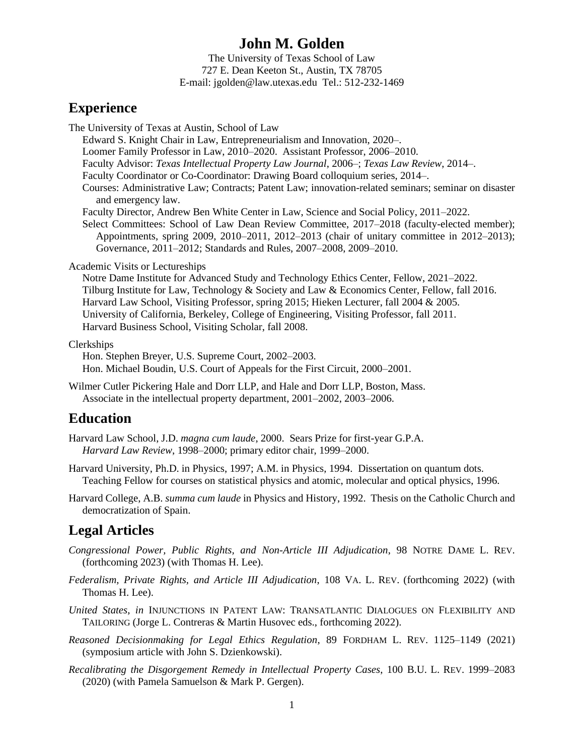# **John M. Golden**

The University of Texas School of Law 727 E. Dean Keeton St., Austin, TX 78705 E-mail: jgolden@law.utexas.edu Tel.: 512-232-1469

## **Experience**

The University of Texas at Austin, School of Law

Edward S. Knight Chair in Law, Entrepreneurialism and Innovation, 2020–.

Loomer Family Professor in Law, 2010–2020. Assistant Professor, 2006–2010.

Faculty Advisor: *Texas Intellectual Property Law Journal*, 2006–; *Texas Law Review*, 2014–.

Faculty Coordinator or Co-Coordinator: Drawing Board colloquium series, 2014–.

Courses: Administrative Law; Contracts; Patent Law; innovation-related seminars; seminar on disaster and emergency law.

Faculty Director, Andrew Ben White Center in Law, Science and Social Policy, 2011–2022.

Select Committees: School of Law Dean Review Committee, 2017–2018 (faculty-elected member); Appointments, spring 2009, 2010–2011, 2012–2013 (chair of unitary committee in 2012–2013); Governance, 2011–2012; Standards and Rules, 2007–2008, 2009–2010.

Academic Visits or Lectureships

Notre Dame Institute for Advanced Study and Technology Ethics Center, Fellow, 2021–2022. Tilburg Institute for Law, Technology & Society and Law & Economics Center, Fellow, fall 2016. Harvard Law School, Visiting Professor, spring 2015; Hieken Lecturer, fall 2004 & 2005. University of California, Berkeley, College of Engineering, Visiting Professor, fall 2011. Harvard Business School, Visiting Scholar, fall 2008.

### Clerkships

Hon. Stephen Breyer, U.S. Supreme Court, 2002–2003. Hon. Michael Boudin, U.S. Court of Appeals for the First Circuit, 2000–2001.

Wilmer Cutler Pickering Hale and Dorr LLP, and Hale and Dorr LLP, Boston, Mass. Associate in the intellectual property department, 2001–2002, 2003–2006.

## **Education**

Harvard Law School, J.D. *magna cum laude*, 2000. Sears Prize for first-year G.P.A. *Harvard Law Review*, 1998–2000; primary editor chair, 1999–2000.

Harvard University, Ph.D. in Physics, 1997; A.M. in Physics, 1994. Dissertation on quantum dots. Teaching Fellow for courses on statistical physics and atomic, molecular and optical physics, 1996.

Harvard College, A.B. *summa cum laude* in Physics and History, 1992. Thesis on the Catholic Church and democratization of Spain.

# **Legal Articles**

- *Congressional Power, Public Rights, and Non-Article III Adjudication*, 98 NOTRE DAME L. REV. (forthcoming 2023) (with Thomas H. Lee).
- *Federalism, Private Rights, and Article III Adjudication*, 108 VA. L. REV. (forthcoming 2022) (with Thomas H. Lee).

*United States*, *in* INJUNCTIONS IN PATENT LAW: TRANSATLANTIC DIALOGUES ON FLEXIBILITY AND TAILORING (Jorge L. Contreras & Martin Husovec eds., forthcoming 2022).

*Reasoned Decisionmaking for Legal Ethics Regulation*, 89 FORDHAM L. REV. 1125–1149 (2021) (symposium article with John S. Dzienkowski).

*Recalibrating the Disgorgement Remedy in Intellectual Property Cases*, 100 B.U. L. REV. 1999–2083 (2020) (with Pamela Samuelson & Mark P. Gergen).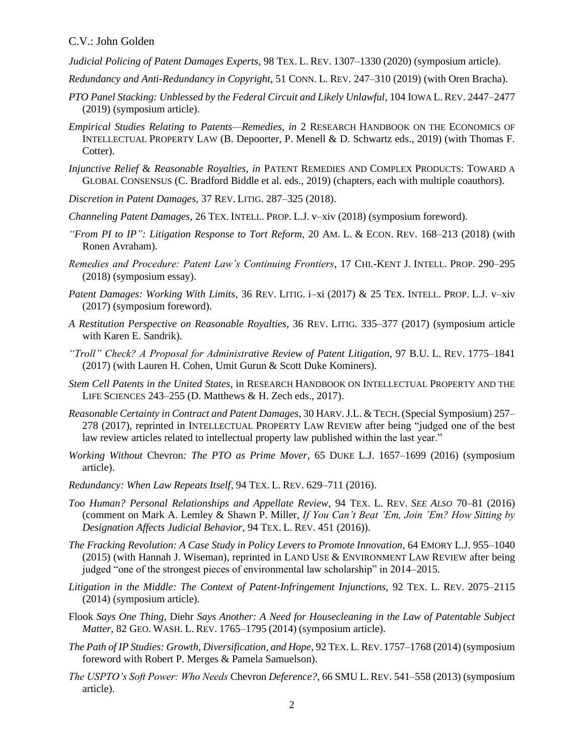#### C.V.: John Golden

*Judicial Policing of Patent Damages Experts*, 98 TEX. L. REV. 1307–1330 (2020) (symposium article).

- *Redundancy and Anti-Redundancy in Copyright*, 51 CONN. L. REV. 247–310 (2019) (with Oren Bracha).
- *PTO Panel Stacking: Unblessed by the Federal Circuit and Likely Unlawful*, 104 IOWA L. REV. 2447–2477 (2019) (symposium article).
- *Empirical Studies Relating to Patents—Remedies*, *in* 2 RESEARCH HANDBOOK ON THE ECONOMICS OF INTELLECTUAL PROPERTY LAW (B. Depoorter, P. Menell & D. Schwartz eds., 2019) (with Thomas F. Cotter).
- *Injunctive Relief* & *Reasonable Royalties*, *in* PATENT REMEDIES AND COMPLEX PRODUCTS: TOWARD A GLOBAL CONSENSUS (C. Bradford Biddle et al. eds., 2019) (chapters, each with multiple coauthors).
- *Discretion in Patent Damages*, 37 REV. LITIG. 287–325 (2018).
- *Channeling Patent Damages*, 26 TEX. INTELL. PROP. L.J. v–xiv (2018) (symposium foreword).
- *"From PI to IP": Litigation Response to Tort Reform*, 20 AM. L. & ECON. REV. 168–213 (2018) (with Ronen Avraham).
- *Remedies and Procedure: Patent Law's Continuing Frontiers*, 17 CHI.-KENT J. INTELL. PROP. 290–295 (2018) (symposium essay).
- *Patent Damages: Working With Limits*, 36 REV. LITIG. i–xi (2017) & 25 TEX. INTELL. PROP. L.J. v–xiv (2017) (symposium foreword).
- *A Restitution Perspective on Reasonable Royalties*, 36 REV. LITIG. 335–377 (2017) (symposium article with Karen E. Sandrik).
- *"Troll" Check? A Proposal for Administrative Review of Patent Litigation*, 97 B.U. L. REV. 1775–1841 (2017) (with Lauren H. Cohen, Umit Gurun & Scott Duke Kominers).
- *Stem Cell Patents in the United States*, in RESEARCH HANDBOOK ON INTELLECTUAL PROPERTY AND THE LIFE SCIENCES 243–255 (D. Matthews & H. Zech eds., 2017).
- *Reasonable Certainty in Contract and Patent Damages*, 30 HARV.J.L. & TECH.(Special Symposium) 257– 278 (2017), reprinted in INTELLECTUAL PROPERTY LAW REVIEW after being "judged one of the best law review articles related to intellectual property law published within the last year."
- *Working Without* Chevron*: The PTO as Prime Mover*, 65 DUKE L.J. 1657–1699 (2016) (symposium article).
- *Redundancy: When Law Repeats Itself*, 94 TEX. L. REV. 629–711 (2016).
- *Too Human? Personal Relationships and Appellate Review*, 94 TEX. L. REV. *SEE ALSO* 70–81 (2016) (comment on Mark A. Lemley & Shawn P. Miller, *If You Can't Beat 'Em, Join 'Em? How Sitting by Designation Affects Judicial Behavior*, 94 TEX. L. REV. 451 (2016)).
- *The Fracking Revolution: A Case Study in Policy Levers to Promote Innovation*, 64 EMORY L.J. 955–1040 (2015) (with Hannah J. Wiseman), reprinted in LAND USE & ENVIRONMENT LAW REVIEW after being judged "one of the strongest pieces of environmental law scholarship" in 2014–2015.
- *Litigation in the Middle: The Context of Patent-Infringement Injunctions*, 92 TEX. L. REV. 2075–2115 (2014) (symposium article).
- Flook *Says One Thing,* Diehr *Says Another: A Need for Housecleaning in the Law of Patentable Subject Matter*, 82 GEO. WASH. L. REV. 1765–1795 (2014) (symposium article).
- *The Path of IP Studies: Growth, Diversification, and Hope*, 92 TEX. L.REV. 1757–1768 (2014) (symposium foreword with Robert P. Merges & Pamela Samuelson).
- *The USPTO's Soft Power: Who Needs* Chevron *Deference?*, 66 SMU L. REV. 541–558 (2013) (symposium article).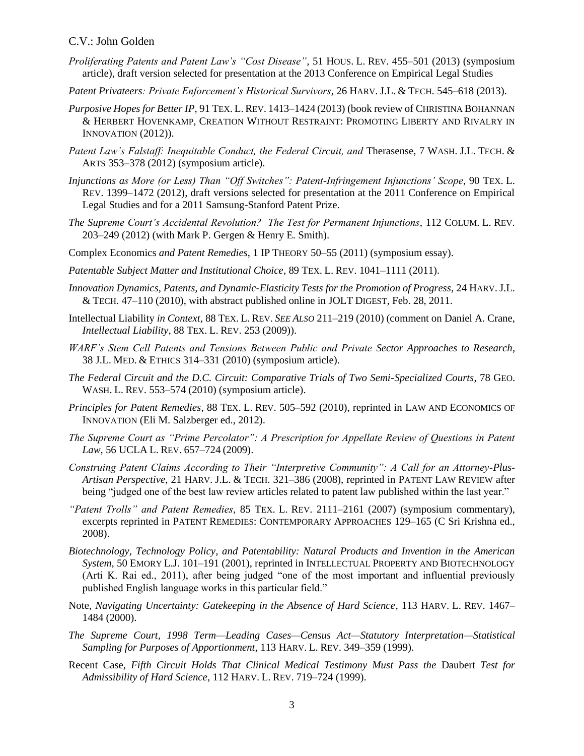#### C.V.: John Golden

- *Proliferating Patents and Patent Law's "Cost Disease"*, 51 HOUS. L. REV. 455–501 (2013) (symposium article), draft version selected for presentation at the 2013 Conference on Empirical Legal Studies
- *Patent Privateers: Private Enforcement's Historical Survivors*, 26 HARV. J.L. & TECH. 545–618 (2013).
- *Purposive Hopes for Better IP*, 91 TEX. L. REV. 1413–1424 (2013) (book review of CHRISTINA BOHANNAN & HERBERT HOVENKAMP, CREATION WITHOUT RESTRAINT: PROMOTING LIBERTY AND RIVALRY IN INNOVATION (2012)).
- *Patent Law's Falstaff: Inequitable Conduct, the Federal Circuit, and Therasense, 7 WASH. J.L. TECH. &* ARTS 353–378 (2012) (symposium article).
- *Injunctions as More (or Less) Than "Off Switches": Patent-Infringement Injunctions' Scope*, 90 TEX. L. REV. 1399–1472 (2012), draft versions selected for presentation at the 2011 Conference on Empirical Legal Studies and for a 2011 Samsung-Stanford Patent Prize.
- *The Supreme Court's Accidental Revolution? The Test for Permanent Injunctions*, 112 COLUM. L. REV. 203–249 (2012) (with Mark P. Gergen & Henry E. Smith).
- Complex Economics *and Patent Remedies*, 1 IP THEORY 50–55 (2011) (symposium essay).
- *Patentable Subject Matter and Institutional Choice*, 89 TEX. L. REV. 1041–1111 (2011).
- *Innovation Dynamics, Patents, and Dynamic-Elasticity Tests for the Promotion of Progress*, 24 HARV.J.L. & TECH. 47–110 (2010), with abstract published online in JOLT DIGEST, Feb. 28, 2011.
- Intellectual Liability *in Context*, 88 TEX. L. REV. *SEE ALSO* 211–219 (2010) (comment on Daniel A. Crane, *Intellectual Liability*, 88 TEX. L. REV. 253 (2009)).
- *WARF's Stem Cell Patents and Tensions Between Public and Private Sector Approaches to Research*, 38 J.L. MED. & ETHICS 314–331 (2010) (symposium article).
- *The Federal Circuit and the D.C. Circuit: Comparative Trials of Two Semi-Specialized Courts*, 78 GEO. WASH. L. REV. 553–574 (2010) (symposium article).
- *Principles for Patent Remedies*, 88 TEX. L. REV. 505–592 (2010), reprinted in LAW AND ECONOMICS OF INNOVATION (Eli M. Salzberger ed., 2012).
- *The Supreme Court as "Prime Percolator": A Prescription for Appellate Review of Questions in Patent Law*, 56 UCLA L. REV. 657–724 (2009).
- *Construing Patent Claims According to Their "Interpretive Community": A Call for an Attorney-Plus-Artisan Perspective*, 21 HARV. J.L. & TECH. 321–386 (2008), reprinted in PATENT LAW REVIEW after being "judged one of the best law review articles related to patent law published within the last year."
- *"Patent Trolls" and Patent Remedies*, 85 TEX. L. REV. 2111–2161 (2007) (symposium commentary), excerpts reprinted in PATENT REMEDIES: CONTEMPORARY APPROACHES 129–165 (C Sri Krishna ed., 2008).
- *Biotechnology, Technology Policy, and Patentability: Natural Products and Invention in the American System*, 50 EMORY L.J. 101–191 (2001), reprinted in INTELLECTUAL PROPERTY AND BIOTECHNOLOGY (Arti K. Rai ed., 2011), after being judged "one of the most important and influential previously published English language works in this particular field."
- Note, *Navigating Uncertainty: Gatekeeping in the Absence of Hard Science*, 113 HARV. L. REV. 1467– 1484 (2000).
- *The Supreme Court, 1998 Term—Leading Cases—Census Act—Statutory Interpretation—Statistical Sampling for Purposes of Apportionment*, 113 HARV. L. REV. 349–359 (1999).
- Recent Case, Fifth Circuit Holds That Clinical Medical Testimony Must Pass the Daubert Test for *Admissibility of Hard Science*, 112 HARV. L. REV. 719–724 (1999).